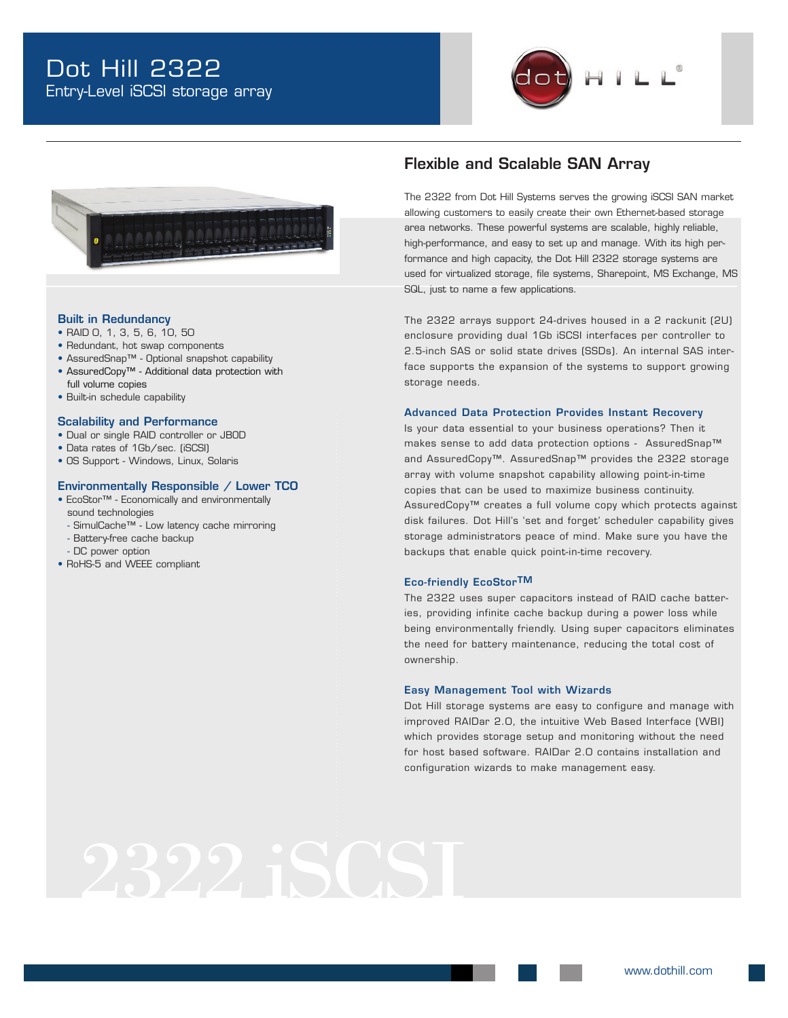



#### Built in Redundancy

- RAID 0, 1, 3, 5, 6, 10, 50
- Redundant, hot swap components
- AssuredSnap™ Optional snapshot capability
- AssuredCopy™ Additional data protection with
- full volume copies
- Built-in schedule capability
- Scalability and Performance
- Dual or single RAID controller or JBOD
- Data rates of 1Gb/sec. (iSCSI)
- OS Support Windows, Linux, Solaris

#### Environmentally Responsible / Lower TCO

• EcoStor™ - Economically and environmentally

sound technologies

- SimulCache™ Low latency cache mirroring
- Battery-free cache backup
- DC power option
- RoHS-5 and WEEE compliant

## • • • • Flexible and Scalable SAN Array

• • • The 2322 from Dot Hill Systems serves the growing iSCSI SAN market allowing customers to easily create their own Ethernet-based storage area networks. These powerful systems are scalable, highly reliable, high-performance, and easy to set up and manage. With its high performance and high capacity, the Dot Hill 2322 storage systems are used for virtualized storage, file systems, Sharepoint, MS Exchange, MS SQL, just to name a few applications.

The 2322 arrays support 24-drives housed in a 2 rackunit (2U) enclosure providing dual 1Gb iSCSI interfaces per controller to 2.5-inch SAS or solid state drives (SSDs). An internal SAS interface supports the expansion of the systems to support growing storage needs.

#### Advanced Data Protection Provides Instant Recovery

Is your data essential to your business operations? Then it makes sense to add data protection options - AssuredSnap™ and AssuredCopy™. AssuredSnap™ provides the 2322 storage array with volume snapshot capability allowing point-in-time copies that can be used to maximize business continuity. AssuredCopy™ creates a full volume copy which protects against disk failures. Dot Hill's 'set and forget' scheduler capability gives storage administrators peace of mind. Make sure you have the backups that enable quick point-in-time recovery.

#### Eco-friendly EcoStorTM

The 2322 uses super capacitors instead of RAID cache batteries, providing infinite cache backup during a power loss while being environmentally friendly. Using super capacitors eliminates the need for battery maintenance, reducing the total cost of ownership.

#### Easy Management Tool with Wizards

Dot Hill storage systems are easy to configure and manage with improved RAIDar 2.0, the intuitive Web Based Interface (WBI) which provides storage setup and monitoring without the need for host based software. RAIDar 2.0 contains installation and configuration wizards to make management easy.

# 2322 iSCSI